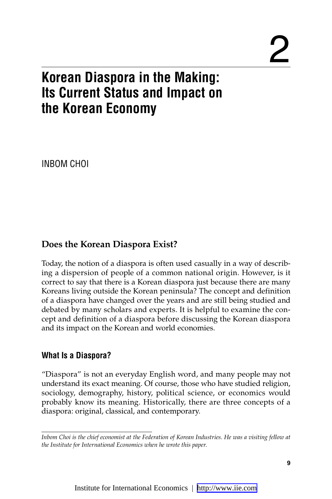# 2

# **Korean Diaspora in the Making: Its Current Status and Impact on the Korean Economy**

INBOM CHOI

## **Does the Korean Diaspora Exist?**

Today, the notion of a diaspora is often used casually in a way of describing a dispersion of people of a common national origin. However, is it correct to say that there is a Korean diaspora just because there are many Koreans living outside the Korean peninsula? The concept and definition of a diaspora have changed over the years and are still being studied and debated by many scholars and experts. It is helpful to examine the concept and definition of a diaspora before discussing the Korean diaspora and its impact on the Korean and world economies.

## **What Is a Diaspora?**

"Diaspora" is not an everyday English word, and many people may not understand its exact meaning. Of course, those who have studied religion, sociology, demography, history, political science, or economics would probably know its meaning. Historically, there are three concepts of a diaspora: original, classical, and contemporary.

*Inbom Choi is the chief economist at the Federation of Korean Industries. He was a visiting fellow at the Institute for International Economics when he wrote this paper.*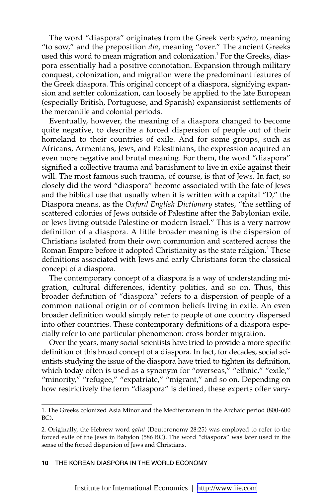The word "diaspora" originates from the Greek verb *speiro*, meaning "to sow," and the preposition *dia*, meaning "over." The ancient Greeks used this word to mean migration and colonization.<sup>1</sup> For the Greeks, diaspora essentially had a positive connotation. Expansion through military conquest, colonization, and migration were the predominant features of the Greek diaspora. This original concept of a diaspora, signifying expansion and settler colonization, can loosely be applied to the late European (especially British, Portuguese, and Spanish) expansionist settlements of the mercantile and colonial periods.

Eventually, however, the meaning of a diaspora changed to become quite negative, to describe a forced dispersion of people out of their homeland to their countries of exile. And for some groups, such as Africans, Armenians, Jews, and Palestinians, the expression acquired an even more negative and brutal meaning. For them, the word "diaspora" signified a collective trauma and banishment to live in exile against their will. The most famous such trauma, of course, is that of Jews. In fact, so closely did the word "diaspora" become associated with the fate of Jews and the biblical use that usually when it is written with a capital "D," the Diaspora means, as the *Oxford English Dictionary* states, "the settling of scattered colonies of Jews outside of Palestine after the Babylonian exile, or Jews living outside Palestine or modern Israel." This is a very narrow definition of a diaspora. A little broader meaning is the dispersion of Christians isolated from their own communion and scattered across the Roman Empire before it adopted Christianity as the state religion.<sup>2</sup> These definitions associated with Jews and early Christians form the classical concept of a diaspora.

The contemporary concept of a diaspora is a way of understanding migration, cultural differences, identity politics, and so on. Thus, this broader definition of "diaspora" refers to a dispersion of people of a common national origin or of common beliefs living in exile. An even broader definition would simply refer to people of one country dispersed into other countries. These contemporary definitions of a diaspora especially refer to one particular phenomenon: cross-border migration.

Over the years, many social scientists have tried to provide a more specific definition of this broad concept of a diaspora. In fact, for decades, social scientists studying the issue of the diaspora have tried to tighten its definition, which today often is used as a synonym for "overseas," "ethnic," "exile," "minority," "refugee," "expatriate," "migrant," and so on. Depending on how restrictively the term "diaspora" is defined, these experts offer vary-

<sup>1.</sup> The Greeks colonized Asia Minor and the Mediterranean in the Archaic period (800-600 BC).

<sup>2.</sup> Originally, the Hebrew word *galut* (Deuteronomy 28:25) was employed to refer to the forced exile of the Jews in Babylon (586 BC). The word "diaspora" was later used in the sense of the forced dispersion of Jews and Christians.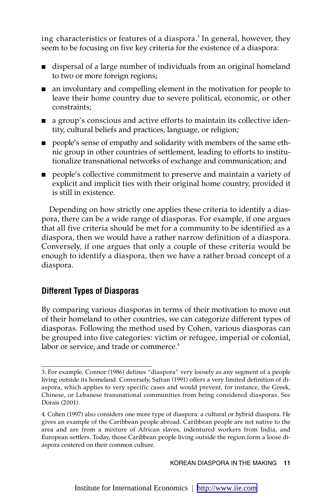ing characteristics or features of a diaspora.<sup>3</sup> In general, however, they seem to be focusing on five key criteria for the existence of a diaspora:

- dispersal of a large number of individuals from an original homeland to two or more foreign regions;
- an involuntary and compelling element in the motivation for people to leave their home country due to severe political, economic, or other constraints;
- a group's conscious and active efforts to maintain its collective identity, cultural beliefs and practices, language, or religion;
- people's sense of empathy and solidarity with members of the same ethnic group in other countries of settlement, leading to efforts to institutionalize transnational networks of exchange and communication; and
- people's collective commitment to preserve and maintain a variety of explicit and implicit ties with their original home country, provided it is still in existence.

Depending on how strictly one applies these criteria to identify a diaspora, there can be a wide range of diasporas. For example, if one argues that all five criteria should be met for a community to be identified as a diaspora, then we would have a rather narrow definition of a diaspora. Conversely, if one argues that only a couple of these criteria would be enough to identify a diaspora, then we have a rather broad concept of a diaspora.

## **Different Types of Diasporas**

By comparing various diasporas in terms of their motivation to move out of their homeland to other countries, we can categorize different types of diasporas. Following the method used by Cohen, various diasporas can be grouped into five categories: victim or refugee, imperial or colonial, labor or service, and trade or commerce.<sup>4</sup>

<sup>3.</sup> For example, Connor (1986) defines "diaspora" very loosely as any segment of a people living outside its homeland. Conversely, Safran (1991) offers a very limited definition of diaspora, which applies to very specific cases and would prevent, for instance, the Greek, Chinese, or Lebanese transnational communities from being considered diasporas. See Dorais (2001).

<sup>4.</sup> Cohen (1997) also considers one more type of diaspora: a cultural or hybrid diaspora. He gives an example of the Caribbean people abroad. Caribbean people are not native to the area and are from a mixture of African slaves, indentured workers from India, and European settlers. Today, those Caribbean people living outside the region form a loose diaspora centered on their common culture.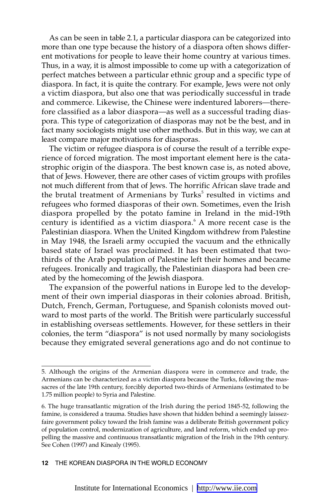As can be seen in table 2.1, a particular diaspora can be categorized into more than one type because the history of a diaspora often shows different motivations for people to leave their home country at various times. Thus, in a way, it is almost impossible to come up with a categorization of perfect matches between a particular ethnic group and a specific type of diaspora. In fact, it is quite the contrary. For example, Jews were not only a victim diaspora, but also one that was periodically successful in trade and commerce. Likewise, the Chinese were indentured laborers—therefore classified as a labor diaspora—as well as a successful trading diaspora. This type of categorization of diasporas may not be the best, and in fact many sociologists might use other methods. But in this way, we can at least compare major motivations for diasporas.

The victim or refugee diaspora is of course the result of a terrible experience of forced migration. The most important element here is the catastrophic origin of the diaspora. The best known case is, as noted above, that of Jews. However, there are other cases of victim groups with profiles not much different from that of Jews. The horrific African slave trade and the brutal treatment of Armenians by Turks<sup>5</sup> resulted in victims and refugees who formed diasporas of their own. Sometimes, even the Irish diaspora propelled by the potato famine in Ireland in the mid-19th century is identified as a victim diaspora.<sup>6</sup> A more recent case is the Palestinian diaspora. When the United Kingdom withdrew from Palestine in May 1948, the Israeli army occupied the vacuum and the ethnically based state of Israel was proclaimed. It has been estimated that twothirds of the Arab population of Palestine left their homes and became refugees. Ironically and tragically, the Palestinian diaspora had been created by the homecoming of the Jewish diaspora.

The expansion of the powerful nations in Europe led to the development of their own imperial diasporas in their colonies abroad. British, Dutch, French, German, Portuguese, and Spanish colonists moved outward to most parts of the world. The British were particularly successful in establishing overseas settlements. However, for these settlers in their colonies, the term "diaspora" is not used normally by many sociologists because they emigrated several generations ago and do not continue to

<sup>5.</sup> Although the origins of the Armenian diaspora were in commerce and trade, the Armenians can be characterized as a victim diaspora because the Turks, following the massacres of the late 19th century, forcibly deported two-thirds of Armenians (estimated to be 1.75 million people) to Syria and Palestine.

<sup>6.</sup> The huge transatlantic migration of the Irish during the period 1845-52, following the famine, is considered a trauma. Studies have shown that hidden behind a seemingly laissezfaire government policy toward the Irish famine was a deliberate British government policy of population control, modernization of agriculture, and land reform, which ended up propelling the massive and continuous transatlantic migration of the Irish in the 19th century. See Cohen (1997) and Kinealy (1995).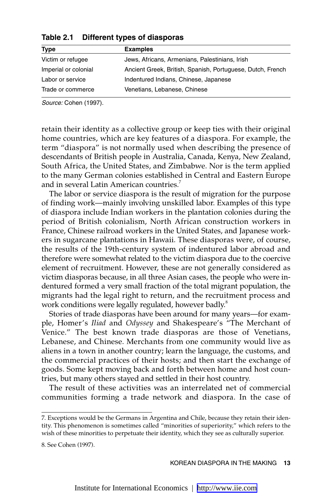| <b>Type</b>          | <b>Examples</b>                                            |
|----------------------|------------------------------------------------------------|
| Victim or refugee    | Jews, Africans, Armenians, Palestinians, Irish             |
| Imperial or colonial | Ancient Greek, British, Spanish, Portuguese, Dutch, French |
| Labor or service     | Indentured Indians, Chinese, Japanese                      |
| Trade or commerce    | Venetians, Lebanese, Chinese                               |

**Table 2.1 Different types of diasporas**

*Source:* Cohen (1997).

retain their identity as a collective group or keep ties with their original home countries, which are key features of a diaspora. For example, the term "diaspora" is not normally used when describing the presence of descendants of British people in Australia, Canada, Kenya, New Zealand, South Africa, the United States, and Zimbabwe. Nor is the term applied to the many German colonies established in Central and Eastern Europe and in several Latin American countries.<sup>7</sup>

The labor or service diaspora is the result of migration for the purpose of finding work—mainly involving unskilled labor. Examples of this type of diaspora include Indian workers in the plantation colonies during the period of British colonialism, North African construction workers in France, Chinese railroad workers in the United States, and Japanese workers in sugarcane plantations in Hawaii. These diasporas were, of course, the results of the 19th-century system of indentured labor abroad and therefore were somewhat related to the victim diaspora due to the coercive element of recruitment. However, these are not generally considered as victim diasporas because, in all three Asian cases, the people who were indentured formed a very small fraction of the total migrant population, the migrants had the legal right to return, and the recruitment process and work conditions were legally regulated, however badly.<sup>8</sup>

Stories of trade diasporas have been around for many years—for example, Homer's *Iliad* and *Odyssey* and Shakespeare's "The Merchant of Venice." The best known trade diasporas are those of Venetians, Lebanese, and Chinese. Merchants from one community would live as aliens in a town in another country; learn the language, the customs, and the commercial practices of their hosts; and then start the exchange of goods. Some kept moving back and forth between home and host countries, but many others stayed and settled in their host country.

The result of these activities was an interrelated net of commercial communities forming a trade network and diaspora. In the case of

<sup>7.</sup> Exceptions would be the Germans in Argentina and Chile, because they retain their identity. This phenomenon is sometimes called "minorities of superiority," which refers to the wish of these minorities to perpetuate their identity, which they see as culturally superior.

<sup>8.</sup> See Cohen (1997).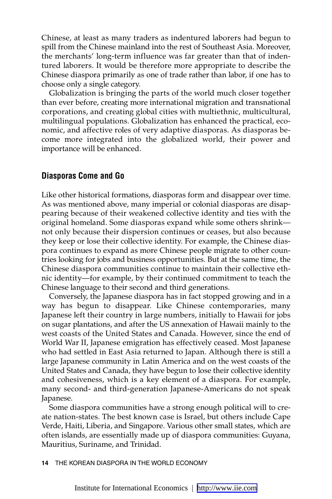Chinese, at least as many traders as indentured laborers had begun to spill from the Chinese mainland into the rest of Southeast Asia. Moreover, the merchants' long-term influence was far greater than that of indentured laborers. It would be therefore more appropriate to describe the Chinese diaspora primarily as one of trade rather than labor, if one has to choose only a single category.

Globalization is bringing the parts of the world much closer together than ever before, creating more international migration and transnational corporations, and creating global cities with multiethnic, multicultural, multilingual populations. Globalization has enhanced the practical, economic, and affective roles of very adaptive diasporas. As diasporas become more integrated into the globalized world, their power and importance will be enhanced.

#### **Diasporas Come and Go**

Like other historical formations, diasporas form and disappear over time. As was mentioned above, many imperial or colonial diasporas are disappearing because of their weakened collective identity and ties with the original homeland. Some diasporas expand while some others shrink not only because their dispersion continues or ceases, but also because they keep or lose their collective identity. For example, the Chinese diaspora continues to expand as more Chinese people migrate to other countries looking for jobs and business opportunities. But at the same time, the Chinese diaspora communities continue to maintain their collective ethnic identity—for example, by their continued commitment to teach the Chinese language to their second and third generations.

Conversely, the Japanese diaspora has in fact stopped growing and in a way has begun to disappear. Like Chinese contemporaries, many Japanese left their country in large numbers, initially to Hawaii for jobs on sugar plantations, and after the US annexation of Hawaii mainly to the west coasts of the United States and Canada. However, since the end of World War II, Japanese emigration has effectively ceased. Most Japanese who had settled in East Asia returned to Japan. Although there is still a large Japanese community in Latin America and on the west coasts of the United States and Canada, they have begun to lose their collective identity and cohesiveness, which is a key element of a diaspora. For example, many second- and third-generation Japanese-Americans do not speak Japanese.

Some diaspora communities have a strong enough political will to create nation-states. The best known case is Israel, but others include Cape Verde, Haiti, Liberia, and Singapore. Various other small states, which are often islands, are essentially made up of diaspora communities: Guyana, Mauritius, Suriname, and Trinidad.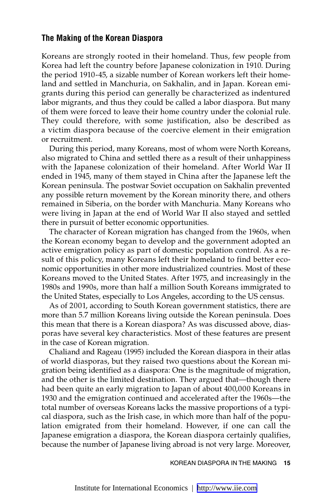## **The Making of the Korean Diaspora**

Koreans are strongly rooted in their homeland. Thus, few people from Korea had left the country before Japanese colonization in 1910. During the period 1910-45, a sizable number of Korean workers left their homeland and settled in Manchuria, on Sakhalin, and in Japan. Korean emigrants during this period can generally be characterized as indentured labor migrants, and thus they could be called a labor diaspora. But many of them were forced to leave their home country under the colonial rule. They could therefore, with some justification, also be described as a victim diaspora because of the coercive element in their emigration or recruitment.

During this period, many Koreans, most of whom were North Koreans, also migrated to China and settled there as a result of their unhappiness with the Japanese colonization of their homeland. After World War II ended in 1945, many of them stayed in China after the Japanese left the Korean peninsula. The postwar Soviet occupation on Sakhalin prevented any possible return movement by the Korean minority there, and others remained in Siberia, on the border with Manchuria. Many Koreans who were living in Japan at the end of World War II also stayed and settled there in pursuit of better economic opportunities.

The character of Korean migration has changed from the 1960s, when the Korean economy began to develop and the government adopted an active emigration policy as part of domestic population control. As a result of this policy, many Koreans left their homeland to find better economic opportunities in other more industrialized countries. Most of these Koreans moved to the United States. After 1975, and increasingly in the 1980s and 1990s, more than half a million South Koreans immigrated to the United States, especially to Los Angeles, according to the US census.

As of 2001, according to South Korean government statistics, there are more than 5.7 million Koreans living outside the Korean peninsula. Does this mean that there is a Korean diaspora? As was discussed above, diasporas have several key characteristics. Most of these features are present in the case of Korean migration.

Chaliand and Rageau (1995) included the Korean diaspora in their atlas of world diasporas, but they raised two questions about the Korean migration being identified as a diaspora: One is the magnitude of migration, and the other is the limited destination. They argued that—though there had been quite an early migration to Japan of about 400,000 Koreans in 1930 and the emigration continued and accelerated after the 1960s—the total number of overseas Koreans lacks the massive proportions of a typical diaspora, such as the Irish case, in which more than half of the population emigrated from their homeland. However, if one can call the Japanese emigration a diaspora, the Korean diaspora certainly qualifies, because the number of Japanese living abroad is not very large. Moreover,

#### KOREAN DIASPORA IN THE MAKING **15**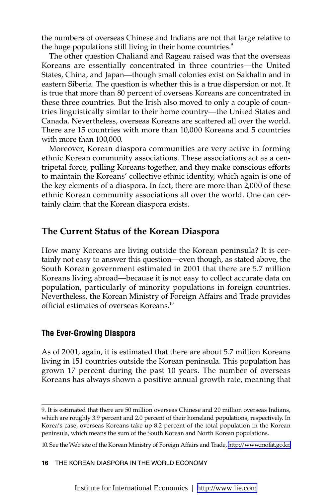the numbers of overseas Chinese and Indians are not that large relative to the huge populations still living in their home countries.<sup>9</sup>

The other question Chaliand and Rageau raised was that the overseas Koreans are essentially concentrated in three countries—the United States, China, and Japan—though small colonies exist on Sakhalin and in eastern Siberia. The question is whether this is a true dispersion or not. It is true that more than 80 percent of overseas Koreans are concentrated in these three countries. But the Irish also moved to only a couple of countries linguistically similar to their home country—the United States and Canada. Nevertheless, overseas Koreans are scattered all over the world. There are 15 countries with more than 10,000 Koreans and 5 countries with more than 100,000.

Moreover, Korean diaspora communities are very active in forming ethnic Korean community associations. These associations act as a centripetal force, pulling Koreans together, and they make conscious efforts to maintain the Koreans' collective ethnic identity, which again is one of the key elements of a diaspora. In fact, there are more than 2,000 of these ethnic Korean community associations all over the world. One can certainly claim that the Korean diaspora exists.

## **The Current Status of the Korean Diaspora**

How many Koreans are living outside the Korean peninsula? It is certainly not easy to answer this question—even though, as stated above, the South Korean government estimated in 2001 that there are 5.7 million Koreans living abroad—because it is not easy to collect accurate data on population, particularly of minority populations in foreign countries. Nevertheless, the Korean Ministry of Foreign Affairs and Trade provides official estimates of overseas Koreans.<sup>10</sup>

## **The Ever-Growing Diaspora**

As of 2001, again, it is estimated that there are about 5.7 million Koreans living in 151 countries outside the Korean peninsula. This population has grown 17 percent during the past 10 years. The number of overseas Koreans has always shown a positive annual growth rate, meaning that

<sup>9.</sup> It is estimated that there are 50 million overseas Chinese and 20 million overseas Indians, which are roughly 3.9 percent and 2.0 percent of their homeland populations, respectively. In Korea's case, overseas Koreans take up 8.2 percent of the total population in the Korean peninsula, which means the sum of the South Korean and North Korean populations.

<sup>10.</sup>See the Web site of the Korean Ministry of Foreign Affairs and Trade, [http://www.mofat.go.kr.](http://www.mofat.go.kr)

**<sup>16</sup>** THE KOREAN DIASPORA IN THE WORLD ECONOMY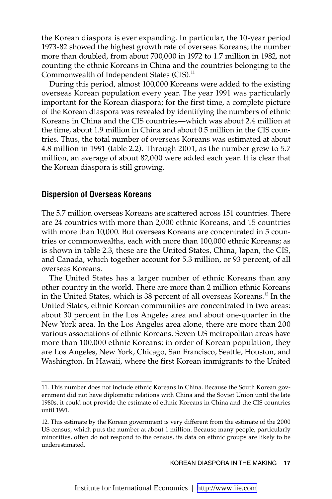the Korean diaspora is ever expanding. In particular, the 10-year period 1973-82 showed the highest growth rate of overseas Koreans; the number more than doubled, from about 700,000 in 1972 to 1.7 million in 1982, not counting the ethnic Koreans in China and the countries belonging to the Commonwealth of Independent States (CIS).<sup>11</sup>

During this period, almost 100,000 Koreans were added to the existing overseas Korean population every year. The year 1991 was particularly important for the Korean diaspora; for the first time, a complete picture of the Korean diaspora was revealed by identifying the numbers of ethnic Koreans in China and the CIS countries—which was about 2.4 million at the time, about 1.9 million in China and about 0.5 million in the CIS countries. Thus, the total number of overseas Koreans was estimated at about 4.8 million in 1991 (table 2.2). Through 2001, as the number grew to 5.7 million, an average of about 82,000 were added each year. It is clear that the Korean diaspora is still growing.

#### **Dispersion of Overseas Koreans**

The 5.7 million overseas Koreans are scattered across 151 countries. There are 24 countries with more than 2,000 ethnic Koreans, and 15 countries with more than 10,000. But overseas Koreans are concentrated in 5 countries or commonwealths, each with more than 100,000 ethnic Koreans; as is shown in table 2.3, these are the United States, China, Japan, the CIS, and Canada, which together account for 5.3 million, or 93 percent, of all overseas Koreans.

The United States has a larger number of ethnic Koreans than any other country in the world. There are more than 2 million ethnic Koreans in the United States, which is 38 percent of all overseas Koreans.<sup>12</sup> In the United States, ethnic Korean communities are concentrated in two areas: about 30 percent in the Los Angeles area and about one-quarter in the New York area. In the Los Angeles area alone, there are more than 200 various associations of ethnic Koreans. Seven US metropolitan areas have more than 100,000 ethnic Koreans; in order of Korean population, they are Los Angeles, New York, Chicago, San Francisco, Seattle, Houston, and Washington. In Hawaii, where the first Korean immigrants to the United

<sup>11.</sup> This number does not include ethnic Koreans in China. Because the South Korean government did not have diplomatic relations with China and the Soviet Union until the late 1980s, it could not provide the estimate of ethnic Koreans in China and the CIS countries until 1991.

<sup>12.</sup> This estimate by the Korean government is very different from the estimate of the 2000 US census, which puts the number at about 1 million. Because many people, particularly minorities, often do not respond to the census, its data on ethnic groups are likely to be underestimated.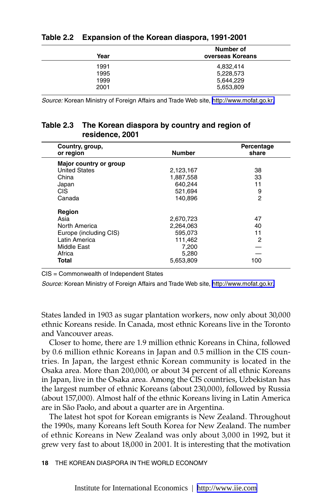| Year | Number of<br>overseas Koreans |
|------|-------------------------------|
| 1991 | 4,832,414                     |
| 1995 | 5,228,573                     |
| 1999 | 5,644,229                     |
| 2001 | 5,653,809                     |

#### **Table 2.2 Expansion of the Korean diaspora, 1991-2001**

*Source:* Korean Ministry of Foreign Affairs and Trade Web site, [http://www.mofat.go.kr.](http://www.mofat.go.kr)

## **Table 2.3 The Korean diaspora by country and region of residence, 2001**

| Country, group,        |               | Percentage |
|------------------------|---------------|------------|
| or region              | <b>Number</b> | share      |
| Major country or group |               |            |
| <b>United States</b>   | 2,123,167     | 38         |
| China                  | 1,887,558     | 33         |
| Japan                  | 640.244       | 11         |
| CIS.                   | 521.694       | 9          |
| Canada                 | 140.896       | 2          |
| Region                 |               |            |
| Asia                   | 2,670,723     | 47         |
| North America          | 2,264,063     | 40         |
| Europe (including CIS) | 595,073       | 11         |
| Latin America          | 111,462       | 2          |
| Middle East            | 7.200         |            |
| Africa                 | 5.280         |            |
| <b>Total</b>           | 5,653,809     | 100        |

CIS = Commonwealth of Independent States

*Source:* Korean Ministry of Foreign Affairs and Trade Web site, [http://www.mofat.go.kr.](http://www.mofat.go.kr)

States landed in 1903 as sugar plantation workers, now only about 30,000 ethnic Koreans reside. In Canada, most ethnic Koreans live in the Toronto and Vancouver areas.

Closer to home, there are 1.9 million ethnic Koreans in China, followed by 0.6 million ethnic Koreans in Japan and 0.5 million in the CIS countries. In Japan, the largest ethnic Korean community is located in the Osaka area. More than 200,000, or about 34 percent of all ethnic Koreans in Japan, live in the Osaka area. Among the CIS countries, Uzbekistan has the largest number of ethnic Koreans (about 230,000), followed by Russia (about 157,000). Almost half of the ethnic Koreans living in Latin America are in São Paolo, and about a quarter are in Argentina.

The latest hot spot for Korean emigrants is New Zealand. Throughout the 1990s, many Koreans left South Korea for New Zealand. The number of ethnic Koreans in New Zealand was only about 3,000 in 1992, but it grew very fast to about 18,000 in 2001. It is interesting that the motivation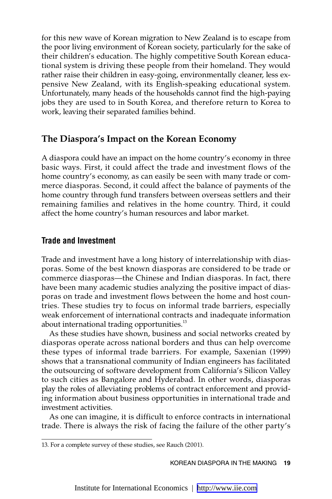for this new wave of Korean migration to New Zealand is to escape from the poor living environment of Korean society, particularly for the sake of their children's education. The highly competitive South Korean educational system is driving these people from their homeland. They would rather raise their children in easy-going, environmentally cleaner, less expensive New Zealand, with its English-speaking educational system. Unfortunately, many heads of the households cannot find the high-paying jobs they are used to in South Korea, and therefore return to Korea to work, leaving their separated families behind.

## **The Diaspora's Impact on the Korean Economy**

A diaspora could have an impact on the home country's economy in three basic ways. First, it could affect the trade and investment flows of the home country's economy, as can easily be seen with many trade or commerce diasporas. Second, it could affect the balance of payments of the home country through fund transfers between overseas settlers and their remaining families and relatives in the home country. Third, it could affect the home country's human resources and labor market.

## **Trade and Investment**

Trade and investment have a long history of interrelationship with diasporas. Some of the best known diasporas are considered to be trade or commerce diasporas—the Chinese and Indian diasporas. In fact, there have been many academic studies analyzing the positive impact of diasporas on trade and investment flows between the home and host countries. These studies try to focus on informal trade barriers, especially weak enforcement of international contracts and inadequate information about international trading opportunities.<sup>13</sup>

As these studies have shown, business and social networks created by diasporas operate across national borders and thus can help overcome these types of informal trade barriers. For example, Saxenian (1999) shows that a transnational community of Indian engineers has facilitated the outsourcing of software development from California's Silicon Valley to such cities as Bangalore and Hyderabad. In other words, diasporas play the roles of alleviating problems of contract enforcement and providing information about business opportunities in international trade and investment activities.

As one can imagine, it is difficult to enforce contracts in international trade. There is always the risk of facing the failure of the other party's

<sup>13.</sup> For a complete survey of these studies, see Rauch (2001).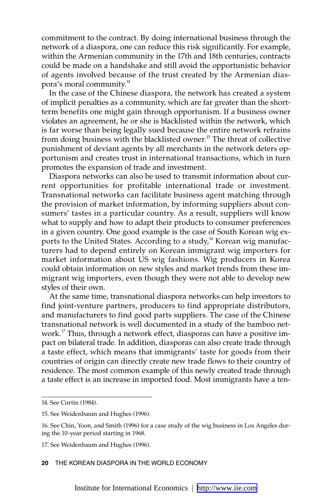commitment to the contract. By doing international business through the network of a diaspora, one can reduce this risk significantly. For example, within the Armenian community in the 17th and 18th centuries, contracts could be made on a handshake and still avoid the opportunistic behavior of agents involved because of the trust created by the Armenian diaspora's moral community.<sup>14</sup>

In the case of the Chinese diaspora, the network has created a system of implicit penalties as a community, which are far greater than the shortterm benefits one might gain through opportunism. If a business owner violates an agreement, he or she is blacklisted within the network, which is far worse than being legally sued because the entire network refrains from doing business with the blacklisted owner.<sup>15</sup> The threat of collective punishment of deviant agents by all merchants in the network deters opportunism and creates trust in international transactions, which in turn promotes the expansion of trade and investment.

Diaspora networks can also be used to transmit information about current opportunities for profitable international trade or investment. Transnational networks can facilitate business agent matching through the provision of market information, by informing suppliers about consumers' tastes in a particular country. As a result, suppliers will know what to supply and how to adapt their products to consumer preferences in a given country. One good example is the case of South Korean wig exports to the United States. According to a study,<sup>16</sup> Korean wig manufacturers had to depend entirely on Korean immigrant wig importers for market information about US wig fashions. Wig producers in Korea could obtain information on new styles and market trends from these immigrant wig importers, even though they were not able to develop new styles of their own.

At the same time, transnational diaspora networks can help investors to find joint-venture partners, producers to find appropriate distributors, and manufacturers to find good parts suppliers. The case of the Chinese transnational network is well documented in a study of the bamboo network.<sup>17</sup> Thus, through a network effect, diasporas can have a positive impact on bilateral trade. In addition, diasporas can also create trade through a taste effect, which means that immigrants' taste for goods from their countries of origin can directly create new trade flows to their country of residence. The most common example of this newly created trade through a taste effect is an increase in imported food. Most immigrants have a ten-

#### **20** THE KOREAN DIASPORA IN THE WORLD ECONOMY

Institute for International Economics | <http://www.iie.com>

<sup>14.</sup> See Curtin (1984).

<sup>15.</sup> See Weidenbaum and Hughes (1996).

<sup>16.</sup> See Chin, Yoon, and Smith (1996) for a case study of the wig business in Los Angeles during the 10-year period starting in 1968.

<sup>17.</sup> See Weidenbaum and Hughes (1996).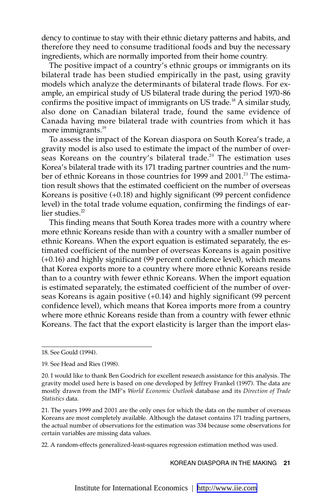dency to continue to stay with their ethnic dietary patterns and habits, and therefore they need to consume traditional foods and buy the necessary ingredients, which are normally imported from their home country.

The positive impact of a country's ethnic groups or immigrants on its bilateral trade has been studied empirically in the past, using gravity models which analyze the determinants of bilateral trade flows. For example, an empirical study of US bilateral trade during the period 1970-86 confirms the positive impact of immigrants on US trade.<sup>18</sup> A similar study, also done on Canadian bilateral trade, found the same evidence of Canada having more bilateral trade with countries from which it has more immigrants.<sup>19</sup>

To assess the impact of the Korean diaspora on South Korea's trade, a gravity model is also used to estimate the impact of the number of overseas Koreans on the country's bilateral trade.<sup>20</sup> The estimation uses Korea's bilateral trade with its 171 trading partner countries and the number of ethnic Koreans in those countries for 1999 and 2001.<sup>21</sup> The estimation result shows that the estimated coefficient on the number of overseas Koreans is positive (+0.18) and highly significant (99 percent confidence level) in the total trade volume equation, confirming the findings of earlier studies.<sup>22</sup>

This finding means that South Korea trades more with a country where more ethnic Koreans reside than with a country with a smaller number of ethnic Koreans. When the export equation is estimated separately, the estimated coefficient of the number of overseas Koreans is again positive (+0.16) and highly significant (99 percent confidence level), which means that Korea exports more to a country where more ethnic Koreans reside than to a country with fewer ethnic Koreans. When the import equation is estimated separately, the estimated coefficient of the number of overseas Koreans is again positive (+0.14) and highly significant (99 percent confidence level), which means that Korea imports more from a country where more ethnic Koreans reside than from a country with fewer ethnic Koreans. The fact that the export elasticity is larger than the import elas-

22. A random-effects generalized-least-squares regression estimation method was used.

KOREAN DIASPORA IN THE MAKING **21**

<sup>18.</sup> See Gould (1994).

<sup>19.</sup> See Head and Ries (1998).

<sup>20.</sup> I would like to thank Ben Goodrich for excellent research assistance for this analysis. The gravity model used here is based on one developed by Jeffrey Frankel (1997). The data are mostly drawn from the IMF's *World Economic Outlook* database and its *Direction of Trade Statistics* data.

<sup>21.</sup> The years 1999 and 2001 are the only ones for which the data on the number of overseas Koreans are most completely available. Although the dataset contains 171 trading partners, the actual number of observations for the estimation was 334 because some observations for certain variables are missing data values.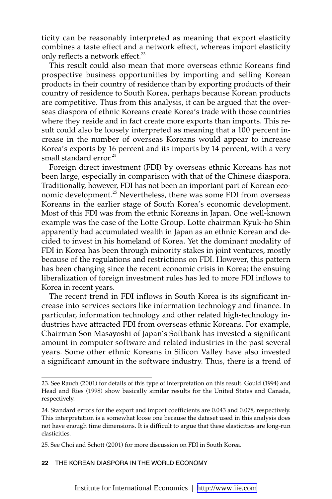ticity can be reasonably interpreted as meaning that export elasticity combines a taste effect and a network effect, whereas import elasticity only reflects a network effect.<sup>23</sup>

This result could also mean that more overseas ethnic Koreans find prospective business opportunities by importing and selling Korean products in their country of residence than by exporting products of their country of residence to South Korea, perhaps because Korean products are competitive. Thus from this analysis, it can be argued that the overseas diaspora of ethnic Koreans create Korea's trade with those countries where they reside and in fact create more exports than imports. This result could also be loosely interpreted as meaning that a 100 percent increase in the number of overseas Koreans would appear to increase Korea's exports by 16 percent and its imports by 14 percent, with a very small standard  $error<sup>24</sup>$ 

Foreign direct investment (FDI) by overseas ethnic Koreans has not been large, especially in comparison with that of the Chinese diaspora. Traditionally, however, FDI has not been an important part of Korean economic development.<sup>25</sup> Nevertheless, there was some FDI from overseas Koreans in the earlier stage of South Korea's economic development. Most of this FDI was from the ethnic Koreans in Japan. One well-known example was the case of the Lotte Group. Lotte chairman Kyuk-ho Shin apparently had accumulated wealth in Japan as an ethnic Korean and decided to invest in his homeland of Korea. Yet the dominant modality of FDI in Korea has been through minority stakes in joint ventures, mostly because of the regulations and restrictions on FDI. However, this pattern has been changing since the recent economic crisis in Korea; the ensuing liberalization of foreign investment rules has led to more FDI inflows to Korea in recent years.

The recent trend in FDI inflows in South Korea is its significant increase into services sectors like information technology and finance. In particular, information technology and other related high-technology industries have attracted FDI from overseas ethnic Koreans. For example, Chairman Son Masayoshi of Japan's Softbank has invested a significant amount in computer software and related industries in the past several years. Some other ethnic Koreans in Silicon Valley have also invested a significant amount in the software industry. Thus, there is a trend of

<sup>23.</sup> See Rauch (2001) for details of this type of interpretation on this result. Gould (1994) and Head and Ries (1998) show basically similar results for the United States and Canada, respectively.

<sup>24.</sup> Standard errors for the export and import coefficients are 0.043 and 0.078, respectively. This interpretation is a somewhat loose one because the dataset used in this analysis does not have enough time dimensions. It is difficult to argue that these elasticities are long-run elasticities.

<sup>25.</sup> See Choi and Schott (2001) for more discussion on FDI in South Korea.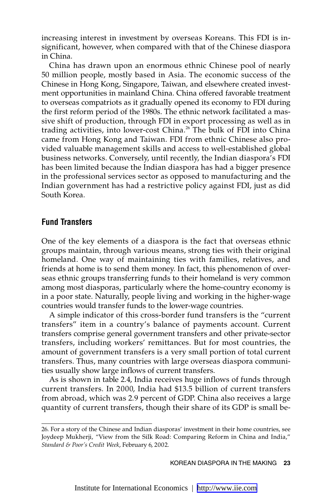increasing interest in investment by overseas Koreans. This FDI is insignificant, however, when compared with that of the Chinese diaspora in China.

China has drawn upon an enormous ethnic Chinese pool of nearly 50 million people, mostly based in Asia. The economic success of the Chinese in Hong Kong, Singapore, Taiwan, and elsewhere created investment opportunities in mainland China. China offered favorable treatment to overseas compatriots as it gradually opened its economy to FDI during the first reform period of the 1980s. The ethnic network facilitated a massive shift of production, through FDI in export processing as well as in trading activities, into lower-cost China.<sup>26</sup> The bulk of FDI into China came from Hong Kong and Taiwan. FDI from ethnic Chinese also provided valuable management skills and access to well-established global business networks. Conversely, until recently, the Indian diaspora's FDI has been limited because the Indian diaspora has had a bigger presence in the professional services sector as opposed to manufacturing and the Indian government has had a restrictive policy against FDI, just as did South Korea.

## **Fund Transfers**

One of the key elements of a diaspora is the fact that overseas ethnic groups maintain, through various means, strong ties with their original homeland. One way of maintaining ties with families, relatives, and friends at home is to send them money. In fact, this phenomenon of overseas ethnic groups transferring funds to their homeland is very common among most diasporas, particularly where the home-country economy is in a poor state. Naturally, people living and working in the higher-wage countries would transfer funds to the lower-wage countries.

A simple indicator of this cross-border fund transfers is the "current transfers" item in a country's balance of payments account. Current transfers comprise general government transfers and other private-sector transfers, including workers' remittances. But for most countries, the amount of government transfers is a very small portion of total current transfers. Thus, many countries with large overseas diaspora communities usually show large inflows of current transfers.

As is shown in table 2.4, India receives huge inflows of funds through current transfers. In 2000, India had \$13.5 billion of current transfers from abroad, which was 2.9 percent of GDP. China also receives a large quantity of current transfers, though their share of its GDP is small be-

<sup>26.</sup> For a story of the Chinese and Indian diasporas' investment in their home countries, see Joydeep Mukherji, "View from the Silk Road: Comparing Reform in China and India," *Standard & Poor's Credit Week*, February 6, 2002.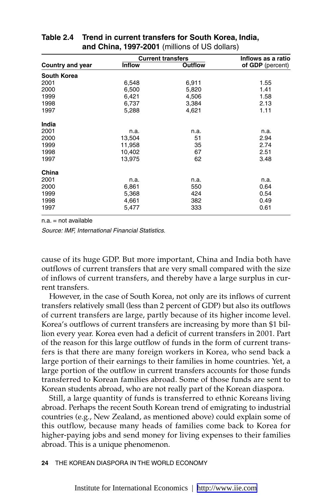| Country and year   | <b>Current transfers</b> | Inflows as a ratio |                  |
|--------------------|--------------------------|--------------------|------------------|
|                    | <b>Inflow</b>            | <b>Outflow</b>     | of GDP (percent) |
| <b>South Korea</b> |                          |                    |                  |
| 2001               | 6,548                    | 6,911              | 1.55             |
| 2000               | 6,500                    | 5,820              | 1.41             |
| 1999               | 6,421                    | 4,506              | 1.58             |
| 1998               | 6,737                    | 3,384              | 2.13             |
| 1997               | 5,288                    | 4,621              | 1.11             |
| India              |                          |                    |                  |
| 2001               | n.a.                     | n.a.               | n.a.             |
| 2000               | 13,504                   | 51                 | 2.94             |
| 1999               | 11,958                   | 35                 | 2.74             |
| 1998               | 10,402                   | 67                 | 2.51             |
| 1997               | 13,975                   | 62                 | 3.48             |
| China              |                          |                    |                  |
| 2001               | n.a.                     | n.a.               | n.a.             |
| 2000               | 6,861                    | 550                | 0.64             |
| 1999               | 5,368                    | 424                | 0.54             |
| 1998               | 4,661                    | 382                | 0.49             |
| 1997               | 5,477                    | 333                | 0.61             |

### **Table 2.4 Trend in current transfers for South Korea, India, and China, 1997-2001** (millions of US dollars)

 $n.a. = not available$ 

*Source: IMF, International Financial Statistics.*

cause of its huge GDP. But more important, China and India both have outflows of current transfers that are very small compared with the size of inflows of current transfers, and thereby have a large surplus in current transfers.

However, in the case of South Korea, not only are its inflows of current transfers relatively small (less than 2 percent of GDP) but also its outflows of current transfers are large, partly because of its higher income level. Korea's outflows of current transfers are increasing by more than \$1 billion every year. Korea even had a deficit of current transfers in 2001. Part of the reason for this large outflow of funds in the form of current transfers is that there are many foreign workers in Korea, who send back a large portion of their earnings to their families in home countries. Yet, a large portion of the outflow in current transfers accounts for those funds transferred to Korean families abroad. Some of those funds are sent to Korean students abroad, who are not really part of the Korean diaspora.

Still, a large quantity of funds is transferred to ethnic Koreans living abroad. Perhaps the recent South Korean trend of emigrating to industrial countries (e.g., New Zealand, as mentioned above) could explain some of this outflow, because many heads of families come back to Korea for higher-paying jobs and send money for living expenses to their families abroad. This is a unique phenomenon.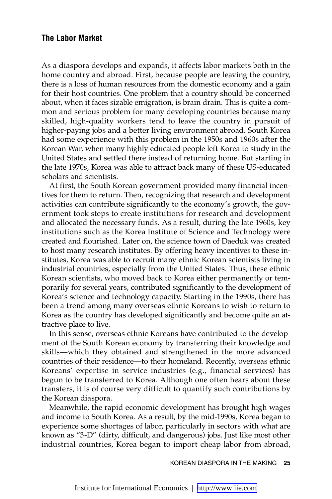## **The Labor Market**

As a diaspora develops and expands, it affects labor markets both in the home country and abroad. First, because people are leaving the country, there is a loss of human resources from the domestic economy and a gain for their host countries. One problem that a country should be concerned about, when it faces sizable emigration, is brain drain. This is quite a common and serious problem for many developing countries because many skilled, high-quality workers tend to leave the country in pursuit of higher-paying jobs and a better living environment abroad. South Korea had some experience with this problem in the 1950s and 1960s after the Korean War, when many highly educated people left Korea to study in the United States and settled there instead of returning home. But starting in the late 1970s, Korea was able to attract back many of these US-educated scholars and scientists.

At first, the South Korean government provided many financial incentives for them to return. Then, recognizing that research and development activities can contribute significantly to the economy's growth, the government took steps to create institutions for research and development and allocated the necessary funds. As a result, during the late 1960s, key institutions such as the Korea Institute of Science and Technology were created and flourished. Later on, the science town of Daeduk was created to host many research institutes. By offering heavy incentives to these institutes, Korea was able to recruit many ethnic Korean scientists living in industrial countries, especially from the United States. Thus, these ethnic Korean scientists, who moved back to Korea either permanently or temporarily for several years, contributed significantly to the development of Korea's science and technology capacity. Starting in the 1990s, there has been a trend among many overseas ethnic Koreans to wish to return to Korea as the country has developed significantly and become quite an attractive place to live.

In this sense, overseas ethnic Koreans have contributed to the development of the South Korean economy by transferring their knowledge and skills—which they obtained and strengthened in the more advanced countries of their residence—to their homeland. Recently, overseas ethnic Koreans' expertise in service industries (e.g., financial services) has begun to be transferred to Korea. Although one often hears about these transfers, it is of course very difficult to quantify such contributions by the Korean diaspora.

Meanwhile, the rapid economic development has brought high wages and income to South Korea. As a result, by the mid-1990s, Korea began to experience some shortages of labor, particularly in sectors with what are known as "3-D" (dirty, difficult, and dangerous) jobs. Just like most other industrial countries, Korea began to import cheap labor from abroad,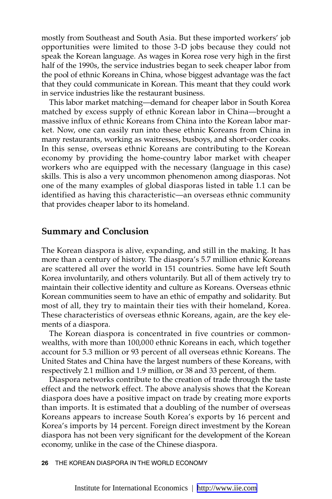mostly from Southeast and South Asia. But these imported workers' job opportunities were limited to those 3-D jobs because they could not speak the Korean language. As wages in Korea rose very high in the first half of the 1990s, the service industries began to seek cheaper labor from the pool of ethnic Koreans in China, whose biggest advantage was the fact that they could communicate in Korean. This meant that they could work in service industries like the restaurant business.

This labor market matching—demand for cheaper labor in South Korea matched by excess supply of ethnic Korean labor in China—brought a massive influx of ethnic Koreans from China into the Korean labor market. Now, one can easily run into these ethnic Koreans from China in many restaurants, working as waitresses, busboys, and short-order cooks. In this sense, overseas ethnic Koreans are contributing to the Korean economy by providing the home-country labor market with cheaper workers who are equipped with the necessary (language in this case) skills. This is also a very uncommon phenomenon among diasporas. Not one of the many examples of global diasporas listed in table 1.1 can be identified as having this characteristic—an overseas ethnic community that provides cheaper labor to its homeland.

#### **Summary and Conclusion**

The Korean diaspora is alive, expanding, and still in the making. It has more than a century of history. The diaspora's 5.7 million ethnic Koreans are scattered all over the world in 151 countries. Some have left South Korea involuntarily, and others voluntarily. But all of them actively try to maintain their collective identity and culture as Koreans. Overseas ethnic Korean communities seem to have an ethic of empathy and solidarity. But most of all, they try to maintain their ties with their homeland, Korea. These characteristics of overseas ethnic Koreans, again, are the key elements of a diaspora.

The Korean diaspora is concentrated in five countries or commonwealths, with more than 100,000 ethnic Koreans in each, which together account for 5.3 million or 93 percent of all overseas ethnic Koreans. The United States and China have the largest numbers of these Koreans, with respectively 2.1 million and 1.9 million, or 38 and 33 percent, of them.

Diaspora networks contribute to the creation of trade through the taste effect and the network effect. The above analysis shows that the Korean diaspora does have a positive impact on trade by creating more exports than imports. It is estimated that a doubling of the number of overseas Koreans appears to increase South Korea's exports by 16 percent and Korea's imports by 14 percent. Foreign direct investment by the Korean diaspora has not been very significant for the development of the Korean economy, unlike in the case of the Chinese diaspora.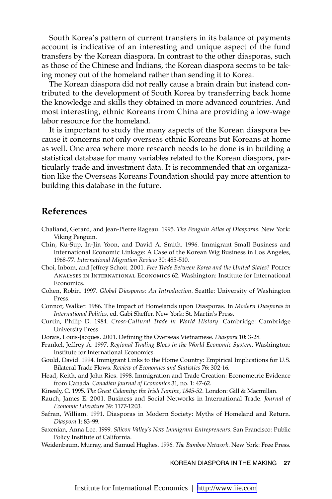South Korea's pattern of current transfers in its balance of payments account is indicative of an interesting and unique aspect of the fund transfers by the Korean diaspora. In contrast to the other diasporas, such as those of the Chinese and Indians, the Korean diaspora seems to be taking money out of the homeland rather than sending it to Korea.

The Korean diaspora did not really cause a brain drain but instead contributed to the development of South Korea by transferring back home the knowledge and skills they obtained in more advanced countries. And most interesting, ethnic Koreans from China are providing a low-wage labor resource for the homeland.

It is important to study the many aspects of the Korean diaspora because it concerns not only overseas ethnic Koreans but Koreans at home as well. One area where more research needs to be done is in building a statistical database for many variables related to the Korean diaspora, particularly trade and investment data. It is recommended that an organization like the Overseas Koreans Foundation should pay more attention to building this database in the future.

## **References**

- Chaliand, Gerard, and Jean-Pierre Rageau. 1995. *The Penguin Atlas of Diasporas*. New York: Viking Penguin.
- Chin, Ku-Sup, In-Jin Yoon, and David A. Smith. 1996. Immigrant Small Business and International Economic Linkage: A Case of the Korean Wig Business in Los Angeles, 1968-77. *International Migration Review* 30: 485-510.
- Choi, Inbom, and Jeffrey Schott. 2001. *Free Trade Between Korea and the United States?* Policy Analyses in International Economics 62. Washington: Institute for International Economics.
- Cohen, Robin. 1997. *Global Diasporas: An Introduction*. Seattle: University of Washington Press.
- Connor, Walker. 1986. The Impact of Homelands upon Diasporas. In *Modern Diasporas in International Politics*, ed. Gabi Sheffer. New York: St. Martin's Press.
- Curtin, Philip D. 1984. *Cross-Cultural Trade in World History*. Cambridge: Cambridge University Press.
- Dorais, Louis-Jacques. 2001. Defining the Overseas Vietnamese. *Diaspora* 10: 3-28.
- Frankel, Jeffrey A. 1997. *Regional Trading Blocs in the World Economic System*. Washington: Institute for International Economics.
- Gould, David. 1994. Immigrant Links to the Home Country: Empirical Implications for U.S. Bilateral Trade Flows. *Review of Economics and Statistics* 76: 302-16.
- Head, Keith, and John Ries. 1998. Immigration and Trade Creation: Econometric Evidence from Canada. *Canadian Journal of Economics* 31, no. 1: 47-62.
- Kinealy, C. 1995. *The Great Calamity: the Irish Famine, 1845-52*. London: Gill & Macmillan.
- Rauch, James E. 2001. Business and Social Networks in International Trade. *Journal of Economic Literature* 39: 1177-1203.
- Safran, William. 1991. Diasporas in Modern Society: Myths of Homeland and Return. *Diaspora* 1: 83-99.
- Saxenian, Anna Lee. 1999. *Silicon Valley's New Immigrant Entrepreneurs*. San Francisco: Public Policy Institute of California.
- Weidenbaum, Murray, and Samuel Hughes. 1996. *The Bamboo Network*. New York: Free Press.

#### KOREAN DIASPORA IN THE MAKING **27**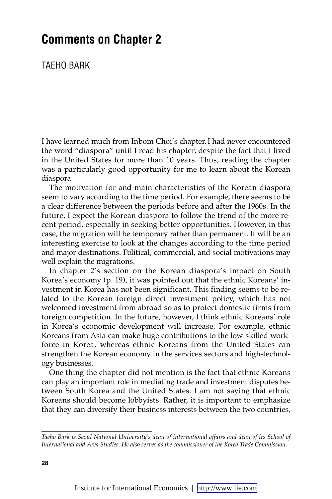## **Comments on Chapter 2**

TAEHO BARK

I have learned much from Inbom Choi's chapter. I had never encountered the word "diaspora" until I read his chapter, despite the fact that I lived in the United States for more than 10 years. Thus, reading the chapter was a particularly good opportunity for me to learn about the Korean diaspora.

The motivation for and main characteristics of the Korean diaspora seem to vary according to the time period. For example, there seems to be a clear difference between the periods before and after the 1960s. In the future, I expect the Korean diaspora to follow the trend of the more recent period, especially in seeking better opportunities. However, in this case, the migration will be temporary rather than permanent. It will be an interesting exercise to look at the changes according to the time period and major destinations. Political, commercial, and social motivations may well explain the migrations.

In chapter 2's section on the Korean diaspora's impact on South Korea's economy (p. 19), it was pointed out that the ethnic Koreans' investment in Korea has not been significant. This finding seems to be related to the Korean foreign direct investment policy, which has not welcomed investment from abroad so as to protect domestic firms from foreign competition. In the future, however, I think ethnic Koreans' role in Korea's economic development will increase. For example, ethnic Koreans from Asia can make huge contributions to the low-skilled workforce in Korea, whereas ethnic Koreans from the United States can strengthen the Korean economy in the services sectors and high-technology businesses.

One thing the chapter did not mention is the fact that ethnic Koreans can play an important role in mediating trade and investment disputes between South Korea and the United States. I am not saying that ethnic Koreans should become lobbyists. Rather, it is important to emphasize that they can diversify their business interests between the two countries,

*Taeho Bark is Seoul National University's dean of international affairs and dean of its School of International and Area Studies. He also serves as the commissioner of the Korea Trade Commission.*